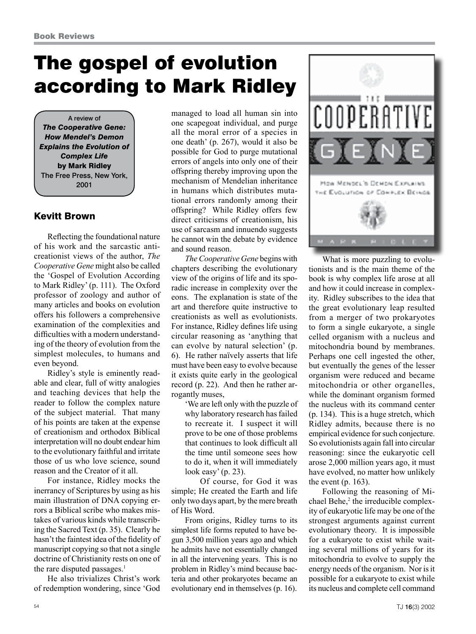## The gospel of evolution according to Mark Ridley

A review of *The Cooperative Gene: How Mendel's Demon Explains the Evolution of Complex Life*  by Mark Ridley The Free Press, New York, 2001

## Kevitt Brown

Reflecting the foundational nature of his work and the sarcastic anticreationist views of the author, *The Cooperative Gene* might also be called the 'Gospel of Evolution According to Mark Ridley' (p. 111). The Oxford professor of zoology and author of many articles and books on evolution offers his followers a comprehensive examination of the complexities and difficulties with a modern understanding of the theory of evolution from the simplest molecules, to humans and even beyond.

Ridley's style is eminently readable and clear, full of witty analogies and teaching devices that help the reader to follow the complex nature of the subject material. That many of his points are taken at the expense of creationism and orthodox Biblical interpretation will no doubt endear him to the evolutionary faithful and irritate those of us who love science, sound reason and the Creator of it all.

For instance, Ridley mocks the inerrancy of Scriptures by using as his main illustration of DNA copying errors a Biblical scribe who makes mistakes of various kinds while transcribing the Sacred Text (p. 35). Clearly he hasn't the faintest idea of the fidelity of manuscript copying so that not a single doctrine of Christianity rests on one of the rare disputed passages. $<sup>1</sup>$ </sup>

He also trivializes Christ's work of redemption wondering, since 'God managed to load all human sin into one scapegoat individual, and purge all the moral error of a species in one death' (p. 267), would it also be possible for God to purge mutational errors of angels into only one of their offspring thereby improving upon the mechanism of Mendelian inheritance in humans which distributes mutational errors randomly among their offspring? While Ridley offers few direct criticisms of creationism, his use of sarcasm and innuendo suggests he cannot win the debate by evidence and sound reason.

*The Cooperative Gene* begins with chapters describing the evolutionary view of the origins of life and its sporadic increase in complexity over the eons. The explanation is state of the art and therefore quite instructive to creationists as well as evolutionists. For instance, Ridley defines life using circular reasoning as 'anything that can evolve by natural selection' (p. 6). He rather naïvely asserts that life must have been easy to evolve because it exists quite early in the geological record (p. 22). And then he rather arrogantly muses,

'We are left only with the puzzle of why laboratory research has failed to recreate it. I suspect it will prove to be one of those problems that continues to look difficult all the time until someone sees how to do it, when it will immediately look easy' (p. 23).

Of course, for God it was simple; He created the Earth and life only two days apart, by the mere breath of His Word.

From origins, Ridley turns to its simplest life forms reputed to have begun 3,500 million years ago and which he admits have not essentially changed in all the intervening years. This is no problem in Ridley's mind because bacteria and other prokaryotes became an evolutionary end in themselves (p. 16).



What is more puzzling to evolutionists and is the main theme of the book is why complex life arose at all and how it could increase in complexity. Ridley subscribes to the idea that the great evolutionary leap resulted from a merger of two prokaryotes to form a single eukaryote, a single celled organism with a nucleus and mitochondria bound by membranes. Perhaps one cell ingested the other, but eventually the genes of the lesser organism were reduced and became mitochondria or other organelles, while the dominant organism formed the nucleus with its command center (p. 134). This is a huge stretch, which Ridley admits, because there is no empirical evidence for such conjecture. So evolutionists again fall into circular reasoning: since the eukaryotic cell arose 2,000 million years ago, it must have evolved, no matter how unlikely the event (p. 163).

Following the reasoning of Michael Behe,<sup>2</sup> the irreducible complexity of eukaryotic life may be one of the strongest arguments against current evolutionary theory. It is impossible for a eukaryote to exist while waiting several millions of years for its mitochondria to evolve to supply the energy needs of the organism. Nor is it possible for a eukaryote to exist while its nucleus and complete cell command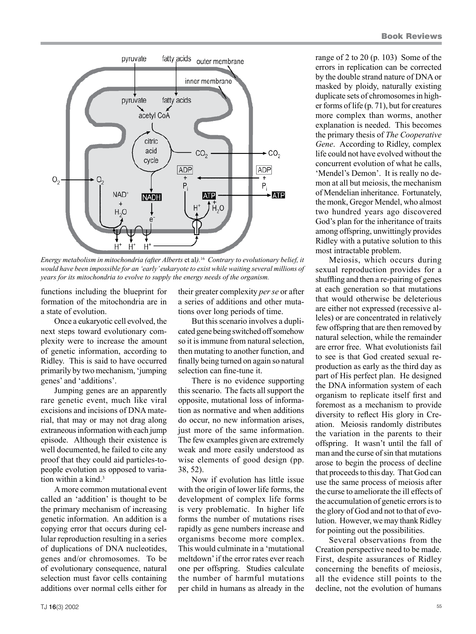

*Energy metabolism in mitochondria (after Alberts* et al*).*<sup>16</sup> *Contrary to evolutionary belief, it would have been impossible for an 'early' eukaryote to exist while waiting several millions of years for its mitochondria to evolve to supply the energy needs of the organism.*

functions including the blueprint for formation of the mitochondria are in a state of evolution.

Once a eukaryotic cell evolved, the next steps toward evolutionary complexity were to increase the amount of genetic information, according to Ridley. This is said to have occurred primarily by two mechanism, 'jumping genes' and 'additions'.

Jumping genes are an apparently rare genetic event, much like viral excisions and incisions of DNA material, that may or may not drag along extraneous information with each jump episode. Although their existence is well documented, he failed to cite any proof that they could aid particles-topeople evolution as opposed to variation within a kind.<sup>3</sup>

A more common mutational event called an 'addition' is thought to be the primary mechanism of increasing genetic information. An addition is a copying error that occurs during cellular reproduction resulting in a series of duplications of DNA nucleotides, genes and/or chromosomes. To be of evolutionary consequence, natural selection must favor cells containing additions over normal cells either for

their greater complexity *per se* or after a series of additions and other mutations over long periods of time.

But this scenario involves a duplicated gene being switched off somehow so it is immune from natural selection, then mutating to another function, and finally being turned on again so natural selection can fine-tune it.

There is no evidence supporting this scenario. The facts all support the opposite, mutational loss of information as normative and when additions do occur, no new information arises, just more of the same information. The few examples given are extremely weak and more easily understood as wise elements of good design (pp. 38, 52).

Now if evolution has little issue with the origin of lower life forms, the development of complex life forms is very problematic. In higher life forms the number of mutations rises rapidly as gene numbers increase and organisms become more complex. This would culminate in a 'mutational meltdown' if the error rates ever reach one per offspring. Studies calculate the number of harmful mutations per child in humans as already in the

range of 2 to 20 (p. 103) Some of the errors in replication can be corrected by the double strand nature of DNA or masked by ploidy, naturally existing duplicate sets of chromosomes in higher forms of life (p. 71), but for creatures more complex than worms, another explanation is needed. This becomes the primary thesis of *The Cooperative Gene*. According to Ridley, complex life could not have evolved without the concurrent evolution of what he calls, 'Mendel's Demon'. It is really no demon at all but meiosis, the mechanism of Mendelian inheritance. Fortunately, the monk, Gregor Mendel, who almost two hundred years ago discovered God's plan for the inheritance of traits among offspring, unwittingly provides Ridley with a putative solution to this most intractable problem.

Meiosis, which occurs during sexual reproduction provides for a shuffling and then a re-pairing of genes at each generation so that mutations that would otherwise be deleterious are either not expressed (recessive alleles) or are concentrated in relatively few offspring that are then removed by natural selection, while the remainder are error free. What evolutionists fail to see is that God created sexual reproduction as early as the third day as part of His perfect plan. He designed the DNA information system of each organism to replicate itself first and foremost as a mechanism to provide diversity to reflect His glory in Creation. Meiosis randomly distributes the variation in the parents to their offspring. It wasn't until the fall of man and the curse of sin that mutations arose to begin the process of decline that proceeds to this day. That God can use the same process of meiosis after the curse to ameliorate the ill effects of the accumulation of genetic errors is to the glory of God and not to that of evolution. However, we may thank Ridley for pointing out the possibilities.

Several observations from the Creation perspective need to be made. First, despite assurances of Ridley concerning the benefits of meiosis, all the evidence still points to the decline, not the evolution of humans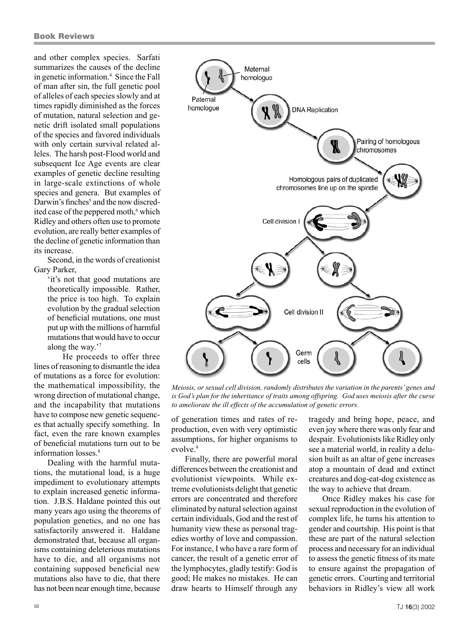and other complex species. Sarfati summarizes the causes of the decline in genetic information.4 Since the Fall of man after sin, the full genetic pool of alleles of each species slowly and at times rapidly diminished as the forces of mutation, natural selection and genetic drift isolated small populations of the species and favored individuals with only certain survival related alleles. The harsh post-Flood world and subsequent Ice Age events are clear examples of genetic decline resulting in large-scale extinctions of whole species and genera. But examples of Darwin's finches<sup>5</sup> and the now discredited case of the peppered moth,<sup>6</sup> which Ridley and others often use to promote evolution, are really better examples of the decline of genetic information than its increase.

Second, in the words of creationist Gary Parker,

> 'it's not that good mutations are theoretically impossible. Rather, the price is too high. To explain evolution by the gradual selection of beneficial mutations, one must put up with the millions of harmful mutations that would have to occur along the way.'7

He proceeds to offer three lines of reasoning to dismantle the idea of mutations as a force for evolution: the mathematical impossibility, the wrong direction of mutational change, and the incapability that mutations have to compose new genetic sequences that actually specify something. In fact, even the rare known examples of beneficial mutations turn out to be information losses.8

Dealing with the harmful mutations, the mutational load, is a huge impediment to evolutionary attempts to explain increased genetic information. J.B.S. Haldane pointed this out many years ago using the theorems of population genetics, and no one has satisfactorily answered it. Haldane demonstrated that, because all organisms containing deleterious mutations have to die, and all organisms not containing supposed beneficial new mutations also have to die, that there has not been near enough time, because



*Meiosis, or sexual cell division, randomly distributes the variation in the parents' genes and*  is God's plan for the inheritance of traits among offspring. God uses meiosis after the curse *to ameliorate the ill effects of the accumulation of genetic errors.*

of generation times and rates of reproduction, even with very optimistic assumptions, for higher organisms to evolve.<sup>9</sup>

Finally, there are powerful moral differences between the creationist and evolutionist viewpoints. While extreme evolutionists delight that genetic errors are concentrated and therefore eliminated by natural selection against certain individuals, God and the rest of humanity view these as personal tragedies worthy of love and compassion. For instance, I who have a rare form of cancer, the result of a genetic error of the lymphocytes, gladly testify: God is good; He makes no mistakes. He can draw hearts to Himself through any

tragedy and bring hope, peace, and even joy where there was only fear and despair. Evolutionists like Ridley only see a material world, in reality a delusion built as an altar of gene increases atop a mountain of dead and extinct creatures and dog-eat-dog existence as the way to achieve that dream.

Once Ridley makes his case for sexual reproduction in the evolution of complex life, he turns his attention to gender and courtship. His point is that these are part of the natural selection process and necessary for an individual to assess the genetic fitness of its mate to ensure against the propagation of genetic errors. Courting and territorial behaviors in Ridley's view all work